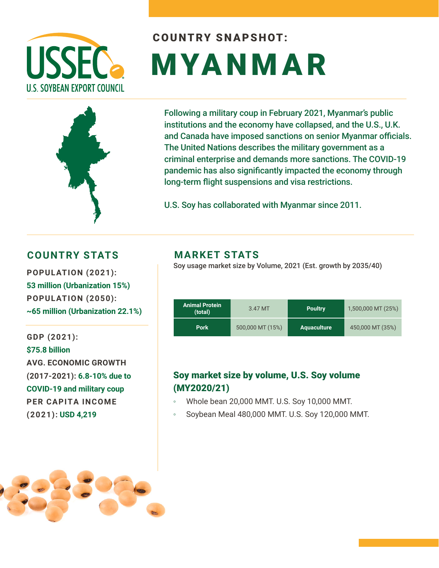

# COUNTRY SNAPSHOT: MYANMAR



Following a military coup in February 2021, Myanmar's public institutions and the economy have collapsed, and the U.S., U.K. and Canada have imposed sanctions on senior Myanmar officials. The United Nations describes the military government as a criminal enterprise and demands more sanctions. The COVID-19 pandemic has also significantly impacted the economy through long-term flight suspensions and visa restrictions.

U.S. Soy has collaborated with Myanmar since 2011.

#### **COUNTRY STATS MARKET STATS**

**53 million (Urbanization 15%) POPULATION (2050): ~65 million (Urbanization 22.1%)** 

**GDP (2021): \$75.8 billion AVG. ECONOMIC GROWTH (2017-2021): 6.8-10% due to COVID-19 and military coup PER CAPITA INCOME (2021): USD 4,219**

Soy usage market size by Volume, 2021 (Est. growth by 2035/40) **POPULATION (2021):** 

| <b>Animal Protein</b><br>(total) | 3.47 MT          | <b>Poultry</b> |                  |
|----------------------------------|------------------|----------------|------------------|
| <b>Pork</b>                      | 500,000 MT (15%) | Aquaculture    | 450,000 MT (35%) |

#### Soy market size by volume, U.S. Soy volume (MY2020/21)

- Whole bean 20,000 MMT. U.S. Soy 10,000 MMT.
- Soybean Meal 480,000 MMT. U.S. Soy 120,000 MMT.